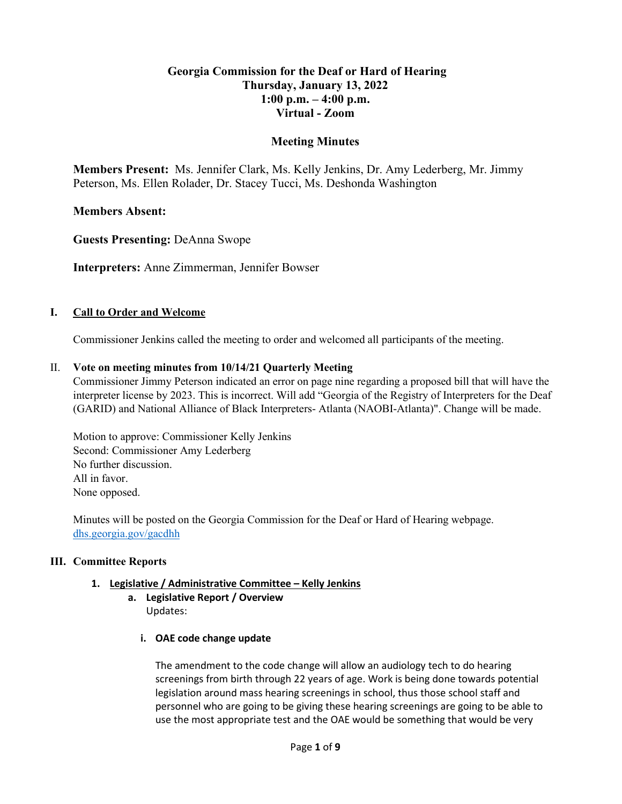# **Georgia Commission for the Deaf or Hard of Hearing Thursday, January 13, 2022 1:00 p.m. – 4:00 p.m. Virtual - Zoom**

# **Meeting Minutes**

**Members Present:** Ms. Jennifer Clark, Ms. Kelly Jenkins, Dr. Amy Lederberg, Mr. Jimmy Peterson, Ms. Ellen Rolader, Dr. Stacey Tucci, Ms. Deshonda Washington

# **Members Absent:**

**Guests Presenting:** DeAnna Swope

**Interpreters:** Anne Zimmerman, Jennifer Bowser

## **I. Call to Order and Welcome**

Commissioner Jenkins called the meeting to order and welcomed all participants of the meeting.

## II. **Vote on meeting minutes from 10/14/21 Quarterly Meeting**

Commissioner Jimmy Peterson indicated an error on page nine regarding a proposed bill that will have the interpreter license by 2023. This is incorrect. Will add "Georgia of the Registry of Interpreters for the Deaf (GARID) and National Alliance of Black Interpreters- Atlanta (NAOBI-Atlanta)". Change will be made.

Motion to approve: Commissioner Kelly Jenkins Second: Commissioner Amy Lederberg No further discussion. All in favor. None opposed.

Minutes will be posted on the Georgia Commission for the Deaf or Hard of Hearing webpage. [dhs.georgia.gov/gacdhh](https://dhs.georgia.gov/organization/about/language-access/georgia-commission-deaf-or-hard-hearing-gcdhh)

## **III. Committee Reports**

## **1. Legislative / Administrative Committee – Kelly Jenkins**

- **a. Legislative Report / Overview**  Updates:
	- **i. OAE code change update**

The amendment to the code change will allow an audiology tech to do hearing screenings from birth through 22 years of age. Work is being done towards potential legislation around mass hearing screenings in school, thus those school staff and personnel who are going to be giving these hearing screenings are going to be able to use the most appropriate test and the OAE would be something that would be very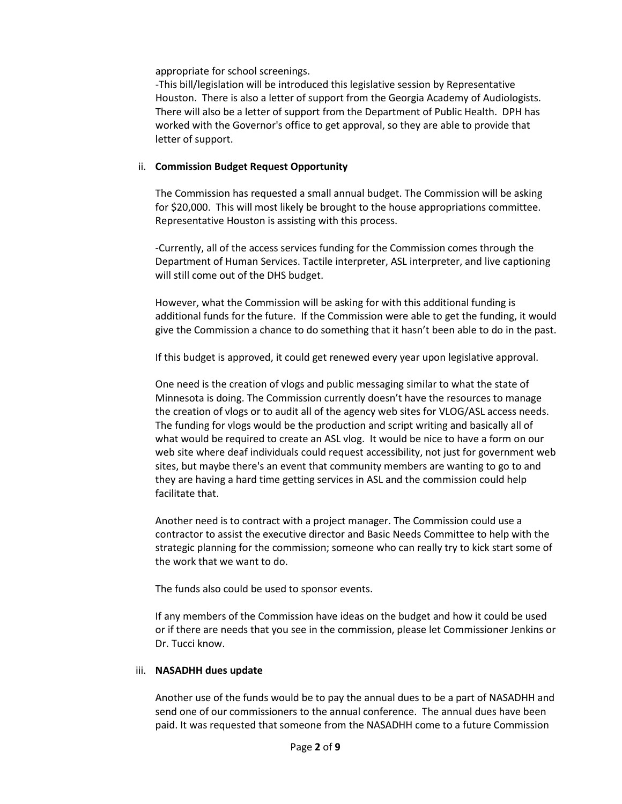appropriate for school screenings.

-This bill/legislation will be introduced this legislative session by Representative Houston. There is also a letter of support from the Georgia Academy of Audiologists. There will also be a letter of support from the Department of Public Health. DPH has worked with the Governor's office to get approval, so they are able to provide that letter of support.

#### ii. **Commission Budget Request Opportunity**

The Commission has requested a small annual budget. The Commission will be asking for \$20,000. This will most likely be brought to the house appropriations committee. Representative Houston is assisting with this process.

-Currently, all of the access services funding for the Commission comes through the Department of Human Services. Tactile interpreter, ASL interpreter, and live captioning will still come out of the DHS budget.

However, what the Commission will be asking for with this additional funding is additional funds for the future. If the Commission were able to get the funding, it would give the Commission a chance to do something that it hasn't been able to do in the past.

If this budget is approved, it could get renewed every year upon legislative approval.

One need is the creation of vlogs and public messaging similar to what the state of Minnesota is doing. The Commission currently doesn't have the resources to manage the creation of vlogs or to audit all of the agency web sites for VLOG/ASL access needs. The funding for vlogs would be the production and script writing and basically all of what would be required to create an ASL vlog. It would be nice to have a form on our web site where deaf individuals could request accessibility, not just for government web sites, but maybe there's an event that community members are wanting to go to and they are having a hard time getting services in ASL and the commission could help facilitate that.

Another need is to contract with a project manager. The Commission could use a contractor to assist the executive director and Basic Needs Committee to help with the strategic planning for the commission; someone who can really try to kick start some of the work that we want to do.

The funds also could be used to sponsor events.

If any members of the Commission have ideas on the budget and how it could be used or if there are needs that you see in the commission, please let Commissioner Jenkins or Dr. Tucci know.

#### iii. **NASADHH dues update**

Another use of the funds would be to pay the annual dues to be a part of NASADHH and send one of our commissioners to the annual conference. The annual dues have been paid. It was requested that someone from the NASADHH come to a future Commission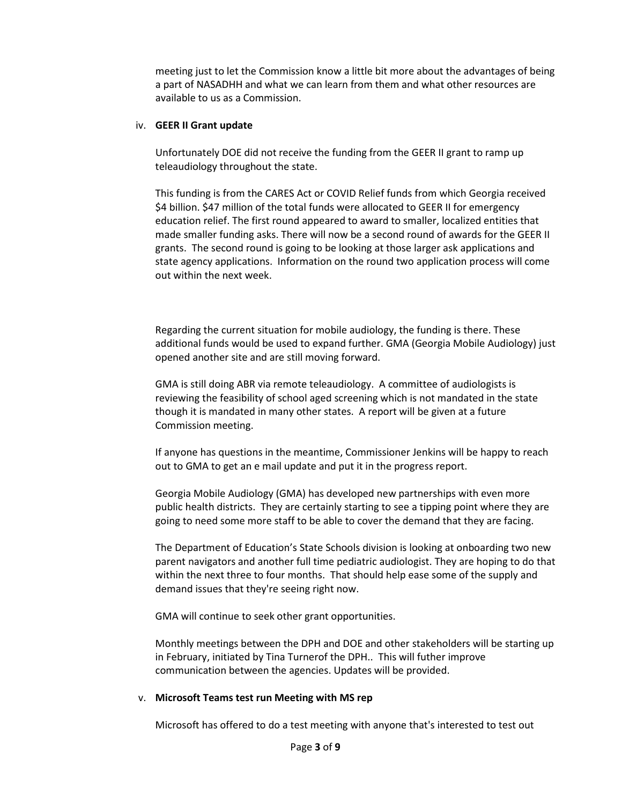meeting just to let the Commission know a little bit more about the advantages of being a part of NASADHH and what we can learn from them and what other resources are available to us as a Commission.

#### iv. **GEER II Grant update**

Unfortunately DOE did not receive the funding from the GEER II grant to ramp up teleaudiology throughout the state.

This funding is from the CARES Act or COVID Relief funds from which Georgia received \$4 billion. \$47 million of the total funds were allocated to GEER II for emergency education relief. The first round appeared to award to smaller, localized entities that made smaller funding asks. There will now be a second round of awards for the GEER II grants. The second round is going to be looking at those larger ask applications and state agency applications. Information on the round two application process will come out within the next week.

Regarding the current situation for mobile audiology, the funding is there. These additional funds would be used to expand further. GMA (Georgia Mobile Audiology) just opened another site and are still moving forward.

GMA is still doing ABR via remote teleaudiology. A committee of audiologists is reviewing the feasibility of school aged screening which is not mandated in the state though it is mandated in many other states. A report will be given at a future Commission meeting.

If anyone has questions in the meantime, Commissioner Jenkins will be happy to reach out to GMA to get an e mail update and put it in the progress report.

Georgia Mobile Audiology (GMA) has developed new partnerships with even more public health districts. They are certainly starting to see a tipping point where they are going to need some more staff to be able to cover the demand that they are facing.

The Department of Education's State Schools division is looking at onboarding two new parent navigators and another full time pediatric audiologist. They are hoping to do that within the next three to four months. That should help ease some of the supply and demand issues that they're seeing right now.

GMA will continue to seek other grant opportunities.

Monthly meetings between the DPH and DOE and other stakeholders will be starting up in February, initiated by Tina Turnerof the DPH.. This will futher improve communication between the agencies. Updates will be provided.

#### v. **Microsoft Teams test run Meeting with MS rep**

Microsoft has offered to do a test meeting with anyone that's interested to test out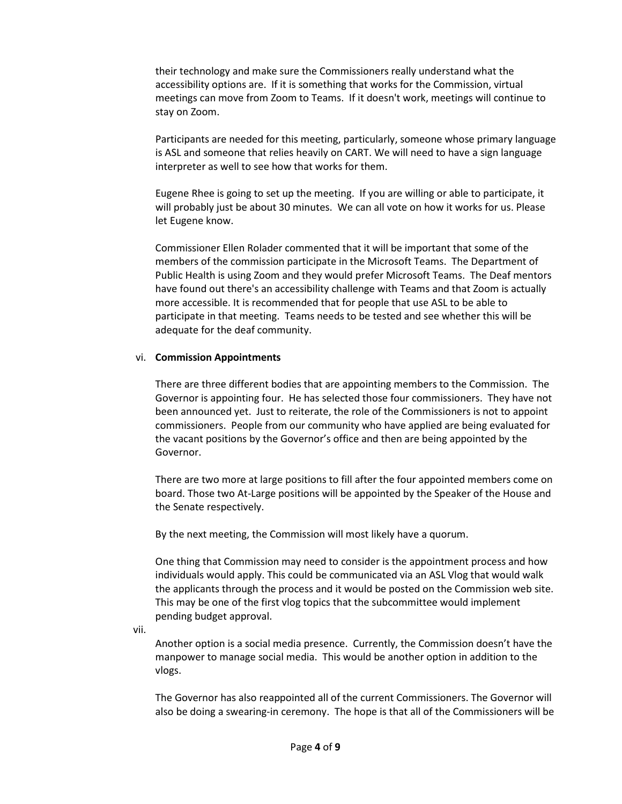their technology and make sure the Commissioners really understand what the accessibility options are. If it is something that works for the Commission, virtual meetings can move from Zoom to Teams. If it doesn't work, meetings will continue to stay on Zoom.

Participants are needed for this meeting, particularly, someone whose primary language is ASL and someone that relies heavily on CART. We will need to have a sign language interpreter as well to see how that works for them.

Eugene Rhee is going to set up the meeting. If you are willing or able to participate, it will probably just be about 30 minutes. We can all vote on how it works for us. Please let Eugene know.

Commissioner Ellen Rolader commented that it will be important that some of the members of the commission participate in the Microsoft Teams. The Department of Public Health is using Zoom and they would prefer Microsoft Teams. The Deaf mentors have found out there's an accessibility challenge with Teams and that Zoom is actually more accessible. It is recommended that for people that use ASL to be able to participate in that meeting. Teams needs to be tested and see whether this will be adequate for the deaf community.

#### vi. **Commission Appointments**

There are three different bodies that are appointing members to the Commission. The Governor is appointing four. He has selected those four commissioners. They have not been announced yet. Just to reiterate, the role of the Commissioners is not to appoint commissioners. People from our community who have applied are being evaluated for the vacant positions by the Governor's office and then are being appointed by the Governor.

There are two more at large positions to fill after the four appointed members come on board. Those two At-Large positions will be appointed by the Speaker of the House and the Senate respectively.

By the next meeting, the Commission will most likely have a quorum.

One thing that Commission may need to consider is the appointment process and how individuals would apply. This could be communicated via an ASL Vlog that would walk the applicants through the process and it would be posted on the Commission web site. This may be one of the first vlog topics that the subcommittee would implement pending budget approval.

vii.

Another option is a social media presence. Currently, the Commission doesn't have the manpower to manage social media. This would be another option in addition to the vlogs.

The Governor has also reappointed all of the current Commissioners. The Governor will also be doing a swearing-in ceremony. The hope is that all of the Commissioners will be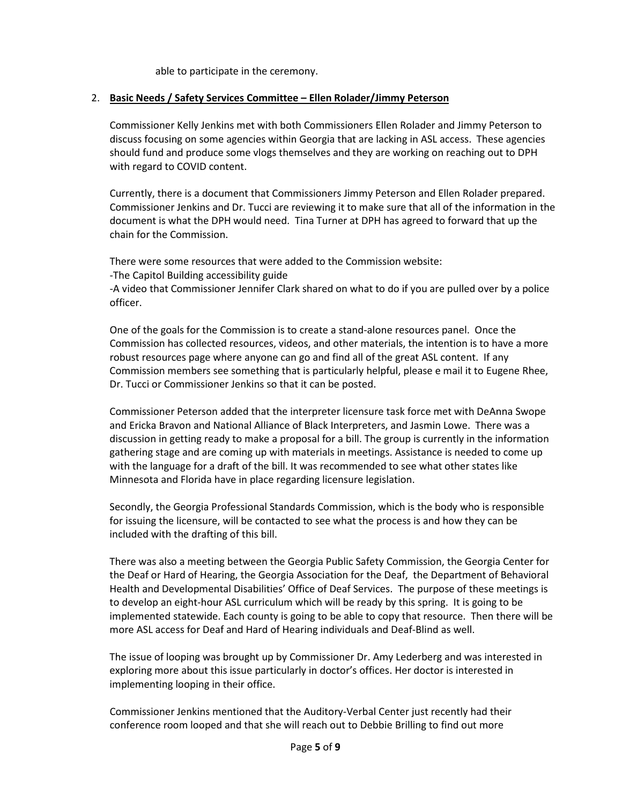able to participate in the ceremony.

## 2. **Basic Needs / Safety Services Committee – Ellen Rolader/Jimmy Peterson**

Commissioner Kelly Jenkins met with both Commissioners Ellen Rolader and Jimmy Peterson to discuss focusing on some agencies within Georgia that are lacking in ASL access. These agencies should fund and produce some vlogs themselves and they are working on reaching out to DPH with regard to COVID content.

Currently, there is a document that Commissioners Jimmy Peterson and Ellen Rolader prepared. Commissioner Jenkins and Dr. Tucci are reviewing it to make sure that all of the information in the document is what the DPH would need. Tina Turner at DPH has agreed to forward that up the chain for the Commission.

There were some resources that were added to the Commission website:

-The Capitol Building accessibility guide

-A video that Commissioner Jennifer Clark shared on what to do if you are pulled over by a police officer.

One of the goals for the Commission is to create a stand-alone resources panel. Once the Commission has collected resources, videos, and other materials, the intention is to have a more robust resources page where anyone can go and find all of the great ASL content. If any Commission members see something that is particularly helpful, please e mail it to Eugene Rhee, Dr. Tucci or Commissioner Jenkins so that it can be posted.

Commissioner Peterson added that the interpreter licensure task force met with DeAnna Swope and Ericka Bravon and National Alliance of Black Interpreters, and Jasmin Lowe. There was a discussion in getting ready to make a proposal for a bill. The group is currently in the information gathering stage and are coming up with materials in meetings. Assistance is needed to come up with the language for a draft of the bill. It was recommended to see what other states like Minnesota and Florida have in place regarding licensure legislation.

Secondly, the Georgia Professional Standards Commission, which is the body who is responsible for issuing the licensure, will be contacted to see what the process is and how they can be included with the drafting of this bill.

There was also a meeting between the Georgia Public Safety Commission, the Georgia Center for the Deaf or Hard of Hearing, the Georgia Association for the Deaf, the Department of Behavioral Health and Developmental Disabilities' Office of Deaf Services. The purpose of these meetings is to develop an eight-hour ASL curriculum which will be ready by this spring. It is going to be implemented statewide. Each county is going to be able to copy that resource. Then there will be more ASL access for Deaf and Hard of Hearing individuals and Deaf-Blind as well.

The issue of looping was brought up by Commissioner Dr. Amy Lederberg and was interested in exploring more about this issue particularly in doctor's offices. Her doctor is interested in implementing looping in their office.

Commissioner Jenkins mentioned that the Auditory-Verbal Center just recently had their conference room looped and that she will reach out to Debbie Brilling to find out more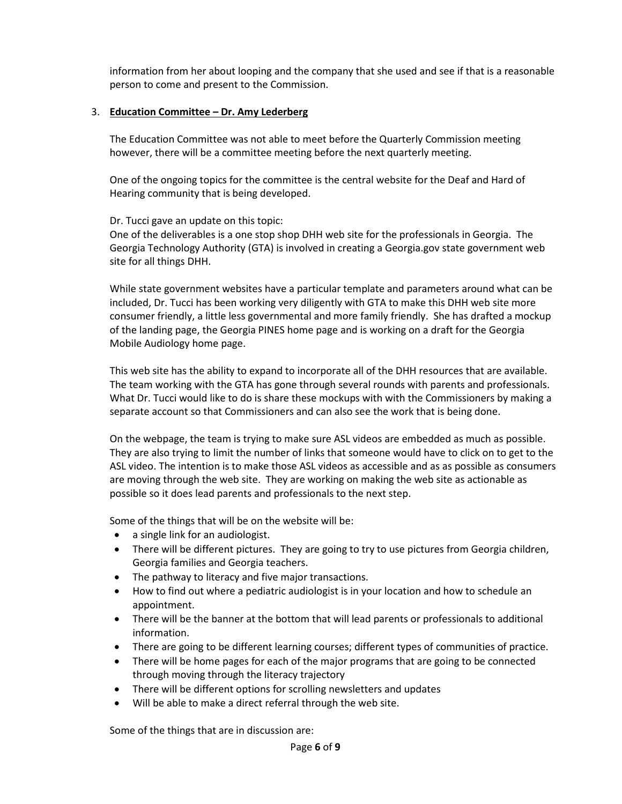information from her about looping and the company that she used and see if that is a reasonable person to come and present to the Commission.

## 3. **Education Committee – Dr. Amy Lederberg**

The Education Committee was not able to meet before the Quarterly Commission meeting however, there will be a committee meeting before the next quarterly meeting.

One of the ongoing topics for the committee is the central website for the Deaf and Hard of Hearing community that is being developed.

## Dr. Tucci gave an update on this topic:

One of the deliverables is a one stop shop DHH web site for the professionals in Georgia. The Georgia Technology Authority (GTA) is involved in creating a Georgia.gov state government web site for all things DHH.

While state government websites have a particular template and parameters around what can be included, Dr. Tucci has been working very diligently with GTA to make this DHH web site more consumer friendly, a little less governmental and more family friendly. She has drafted a mockup of the landing page, the Georgia PINES home page and is working on a draft for the Georgia Mobile Audiology home page.

This web site has the ability to expand to incorporate all of the DHH resources that are available. The team working with the GTA has gone through several rounds with parents and professionals. What Dr. Tucci would like to do is share these mockups with with the Commissioners by making a separate account so that Commissioners and can also see the work that is being done.

On the webpage, the team is trying to make sure ASL videos are embedded as much as possible. They are also trying to limit the number of links that someone would have to click on to get to the ASL video. The intention is to make those ASL videos as accessible and as as possible as consumers are moving through the web site. They are working on making the web site as actionable as possible so it does lead parents and professionals to the next step.

Some of the things that will be on the website will be:

- a single link for an audiologist.
- There will be different pictures. They are going to try to use pictures from Georgia children, Georgia families and Georgia teachers.
- The pathway to literacy and five major transactions.
- How to find out where a pediatric audiologist is in your location and how to schedule an appointment.
- There will be the banner at the bottom that will lead parents or professionals to additional information.
- There are going to be different learning courses; different types of communities of practice.
- There will be home pages for each of the major programs that are going to be connected through moving through the literacy trajectory
- There will be different options for scrolling newsletters and updates
- Will be able to make a direct referral through the web site.

Some of the things that are in discussion are: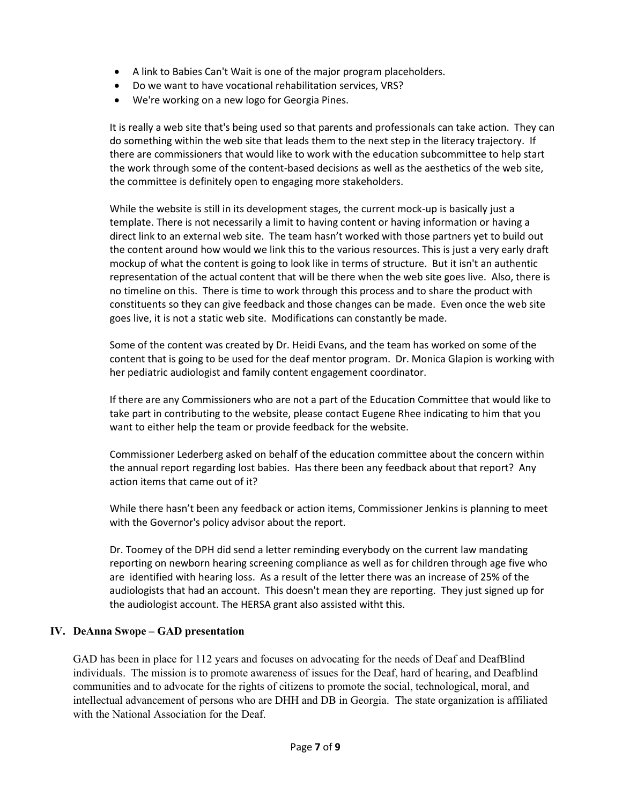- A link to Babies Can't Wait is one of the major program placeholders.
- Do we want to have vocational rehabilitation services, VRS?
- We're working on a new logo for Georgia Pines.

It is really a web site that's being used so that parents and professionals can take action. They can do something within the web site that leads them to the next step in the literacy trajectory. If there are commissioners that would like to work with the education subcommittee to help start the work through some of the content-based decisions as well as the aesthetics of the web site, the committee is definitely open to engaging more stakeholders.

While the website is still in its development stages, the current mock-up is basically just a template. There is not necessarily a limit to having content or having information or having a direct link to an external web site. The team hasn't worked with those partners yet to build out the content around how would we link this to the various resources. This is just a very early draft mockup of what the content is going to look like in terms of structure. But it isn't an authentic representation of the actual content that will be there when the web site goes live. Also, there is no timeline on this. There is time to work through this process and to share the product with constituents so they can give feedback and those changes can be made. Even once the web site goes live, it is not a static web site. Modifications can constantly be made.

Some of the content was created by Dr. Heidi Evans, and the team has worked on some of the content that is going to be used for the deaf mentor program. Dr. Monica Glapion is working with her pediatric audiologist and family content engagement coordinator.

If there are any Commissioners who are not a part of the Education Committee that would like to take part in contributing to the website, please contact Eugene Rhee indicating to him that you want to either help the team or provide feedback for the website.

Commissioner Lederberg asked on behalf of the education committee about the concern within the annual report regarding lost babies. Has there been any feedback about that report? Any action items that came out of it?

While there hasn't been any feedback or action items, Commissioner Jenkins is planning to meet with the Governor's policy advisor about the report.

Dr. Toomey of the DPH did send a letter reminding everybody on the current law mandating reporting on newborn hearing screening compliance as well as for children through age five who are identified with hearing loss. As a result of the letter there was an increase of 25% of the audiologists that had an account. This doesn't mean they are reporting. They just signed up for the audiologist account. The HERSA grant also assisted witht this.

# **IV. DeAnna Swope – GAD presentation**

GAD has been in place for 112 years and focuses on advocating for the needs of Deaf and DeafBlind individuals. The mission is to promote awareness of issues for the Deaf, hard of hearing, and Deafblind communities and to advocate for the rights of citizens to promote the social, technological, moral, and intellectual advancement of persons who are DHH and DB in Georgia. The state organization is affiliated with the National Association for the Deaf.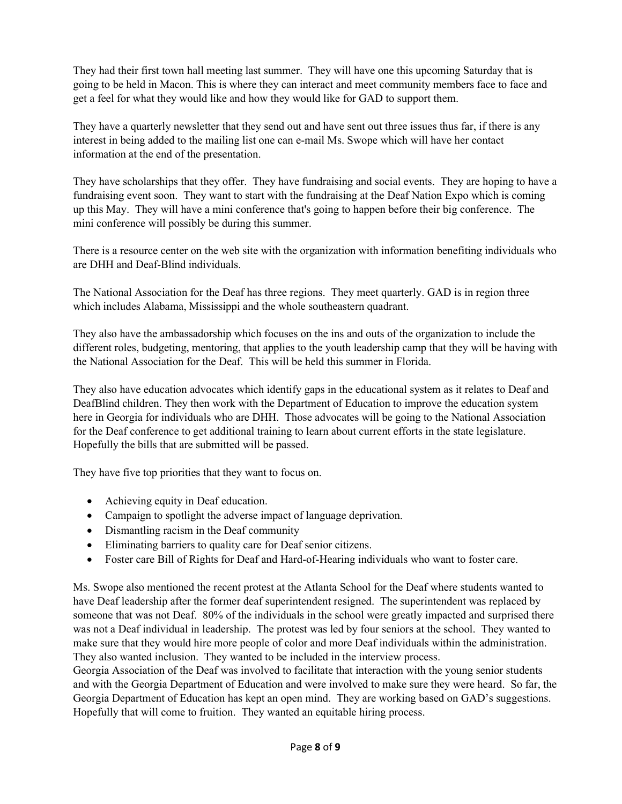They had their first town hall meeting last summer. They will have one this upcoming Saturday that is going to be held in Macon. This is where they can interact and meet community members face to face and get a feel for what they would like and how they would like for GAD to support them.

They have a quarterly newsletter that they send out and have sent out three issues thus far, if there is any interest in being added to the mailing list one can e-mail Ms. Swope which will have her contact information at the end of the presentation.

They have scholarships that they offer. They have fundraising and social events. They are hoping to have a fundraising event soon. They want to start with the fundraising at the Deaf Nation Expo which is coming up this May. They will have a mini conference that's going to happen before their big conference. The mini conference will possibly be during this summer.

There is a resource center on the web site with the organization with information benefiting individuals who are DHH and Deaf-Blind individuals.

The National Association for the Deaf has three regions. They meet quarterly. GAD is in region three which includes Alabama, Mississippi and the whole southeastern quadrant.

They also have the ambassadorship which focuses on the ins and outs of the organization to include the different roles, budgeting, mentoring, that applies to the youth leadership camp that they will be having with the National Association for the Deaf. This will be held this summer in Florida.

They also have education advocates which identify gaps in the educational system as it relates to Deaf and DeafBlind children. They then work with the Department of Education to improve the education system here in Georgia for individuals who are DHH. Those advocates will be going to the National Association for the Deaf conference to get additional training to learn about current efforts in the state legislature. Hopefully the bills that are submitted will be passed.

They have five top priorities that they want to focus on.

- Achieving equity in Deaf education.
- Campaign to spotlight the adverse impact of language deprivation.
- Dismantling racism in the Deaf community
- Eliminating barriers to quality care for Deaf senior citizens.
- Foster care Bill of Rights for Deaf and Hard-of-Hearing individuals who want to foster care.

Ms. Swope also mentioned the recent protest at the Atlanta School for the Deaf where students wanted to have Deaf leadership after the former deaf superintendent resigned. The superintendent was replaced by someone that was not Deaf. 80% of the individuals in the school were greatly impacted and surprised there was not a Deaf individual in leadership. The protest was led by four seniors at the school. They wanted to make sure that they would hire more people of color and more Deaf individuals within the administration. They also wanted inclusion. They wanted to be included in the interview process.

Georgia Association of the Deaf was involved to facilitate that interaction with the young senior students and with the Georgia Department of Education and were involved to make sure they were heard. So far, the Georgia Department of Education has kept an open mind. They are working based on GAD's suggestions. Hopefully that will come to fruition. They wanted an equitable hiring process.